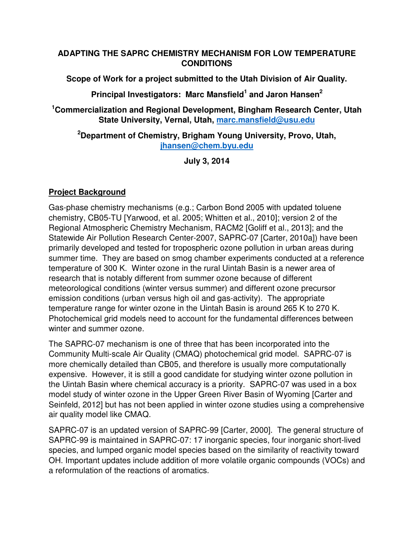#### **ADAPTING THE SAPRC CHEMISTRY MECHANISM FOR LOW TEMPERATURE CONDITIONS**

**Scope of Work for a project submitted to the Utah Division of Air Quality.** 

**Principal Investigators: Marc Mansfield<sup>1</sup> and Jaron Hansen<sup>2</sup>**

**<sup>1</sup>Commercialization and Regional Development, Bingham Research Center, Utah State University, Vernal, Utah, marc.mansfield@usu.edu**

#### **<sup>2</sup>Department of Chemistry, Brigham Young University, Provo, Utah, jhansen@chem.byu.edu**

**July 3, 2014** 

# **Project Background**

Gas-phase chemistry mechanisms (e.g.; Carbon Bond 2005 with updated toluene chemistry, CB05-TU [Yarwood, et al. 2005; Whitten et al., 2010]; version 2 of the Regional Atmospheric Chemistry Mechanism, RACM2 [Goliff et al., 2013]; and the Statewide Air Pollution Research Center-2007, SAPRC-07 [Carter, 2010a]) have been primarily developed and tested for tropospheric ozone pollution in urban areas during summer time. They are based on smog chamber experiments conducted at a reference temperature of 300 K. Winter ozone in the rural Uintah Basin is a newer area of research that is notably different from summer ozone because of different meteorological conditions (winter versus summer) and different ozone precursor emission conditions (urban versus high oil and gas-activity). The appropriate temperature range for winter ozone in the Uintah Basin is around 265 K to 270 K. Photochemical grid models need to account for the fundamental differences between winter and summer ozone.

The SAPRC-07 mechanism is one of three that has been incorporated into the Community Multi-scale Air Quality (CMAQ) photochemical grid model. SAPRC-07 is more chemically detailed than CB05, and therefore is usually more computationally expensive. However, it is still a good candidate for studying winter ozone pollution in the Uintah Basin where chemical accuracy is a priority. SAPRC-07 was used in a box model study of winter ozone in the Upper Green River Basin of Wyoming [Carter and Seinfeld, 2012] but has not been applied in winter ozone studies using a comprehensive air quality model like CMAQ.

SAPRC-07 is an updated version of SAPRC-99 [Carter, 2000]. The general structure of SAPRC-99 is maintained in SAPRC-07: 17 inorganic species, four inorganic short-lived species, and lumped organic model species based on the similarity of reactivity toward OH. Important updates include addition of more volatile organic compounds (VOCs) and a reformulation of the reactions of aromatics.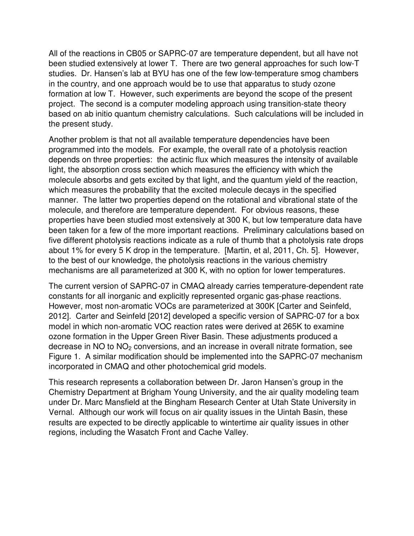All of the reactions in CB05 or SAPRC-07 are temperature dependent, but all have not been studied extensively at lower T. There are two general approaches for such low-T studies. Dr. Hansen's lab at BYU has one of the few low-temperature smog chambers in the country, and one approach would be to use that apparatus to study ozone formation at low T. However, such experiments are beyond the scope of the present project. The second is a computer modeling approach using transition-state theory based on ab initio quantum chemistry calculations. Such calculations will be included in the present study.

Another problem is that not all available temperature dependencies have been programmed into the models. For example, the overall rate of a photolysis reaction depends on three properties: the actinic flux which measures the intensity of available light, the absorption cross section which measures the efficiency with which the molecule absorbs and gets excited by that light, and the quantum yield of the reaction, which measures the probability that the excited molecule decays in the specified manner. The latter two properties depend on the rotational and vibrational state of the molecule, and therefore are temperature dependent. For obvious reasons, these properties have been studied most extensively at 300 K, but low temperature data have been taken for a few of the more important reactions. Preliminary calculations based on five different photolysis reactions indicate as a rule of thumb that a photolysis rate drops about 1% for every 5 K drop in the temperature. [Martin, et al, 2011, Ch. 5]. However, to the best of our knowledge, the photolysis reactions in the various chemistry mechanisms are all parameterized at 300 K, with no option for lower temperatures.

The current version of SAPRC-07 in CMAQ already carries temperature-dependent rate constants for all inorganic and explicitly represented organic gas-phase reactions. However, most non-aromatic VOCs are parameterized at 300K [Carter and Seinfeld, 2012]. Carter and Seinfeld [2012] developed a specific version of SAPRC-07 for a box model in which non-aromatic VOC reaction rates were derived at 265K to examine ozone formation in the Upper Green River Basin. These adjustments produced a decrease in NO to NO<sub>2</sub> conversions, and an increase in overall nitrate formation, see Figure 1. A similar modification should be implemented into the SAPRC-07 mechanism incorporated in CMAQ and other photochemical grid models.

This research represents a collaboration between Dr. Jaron Hansen's group in the Chemistry Department at Brigham Young University, and the air quality modeling team under Dr. Marc Mansfield at the Bingham Research Center at Utah State University in Vernal. Although our work will focus on air quality issues in the Uintah Basin, these results are expected to be directly applicable to wintertime air quality issues in other regions, including the Wasatch Front and Cache Valley.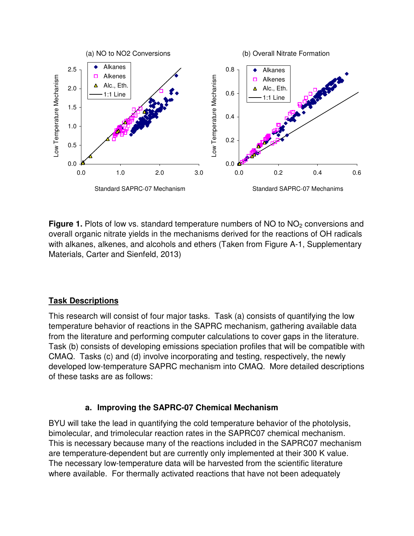

**Figure 1.** Plots of low vs. standard temperature numbers of NO to NO<sub>2</sub> conversions and overall organic nitrate yields in the mechanisms derived for the reactions of OH radicals with alkanes, alkenes, and alcohols and ethers (Taken from Figure A-1, Supplementary Materials, Carter and Sienfeld, 2013)

### **Task Descriptions**

This research will consist of four major tasks. Task (a) consists of quantifying the low temperature behavior of reactions in the SAPRC mechanism, gathering available data from the literature and performing computer calculations to cover gaps in the literature. Task (b) consists of developing emissions speciation profiles that will be compatible with CMAQ. Tasks (c) and (d) involve incorporating and testing, respectively, the newly developed low-temperature SAPRC mechanism into CMAQ. More detailed descriptions of these tasks are as follows:

#### **a. Improving the SAPRC-07 Chemical Mechanism**

BYU will take the lead in quantifying the cold temperature behavior of the photolysis, bimolecular, and trimolecular reaction rates in the SAPRC07 chemical mechanism. This is necessary because many of the reactions included in the SAPRC07 mechanism are temperature-dependent but are currently only implemented at their 300 K value. The necessary low-temperature data will be harvested from the scientific literature where available. For thermally activated reactions that have not been adequately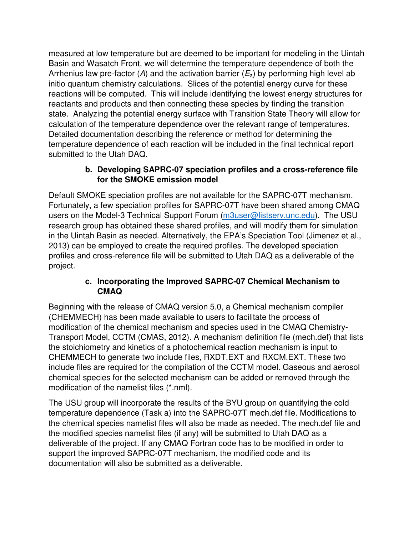measured at low temperature but are deemed to be important for modeling in the Uintah Basin and Wasatch Front, we will determine the temperature dependence of both the Arrhenius law pre-factor (A) and the activation barrier ( $E_a$ ) by performing high level ab initio quantum chemistry calculations. Slices of the potential energy curve for these reactions will be computed. This will include identifying the lowest energy structures for reactants and products and then connecting these species by finding the transition state. Analyzing the potential energy surface with Transition State Theory will allow for calculation of the temperature dependence over the relevant range of temperatures. Detailed documentation describing the reference or method for determining the temperature dependence of each reaction will be included in the final technical report submitted to the Utah DAQ.

### **b. Developing SAPRC-07 speciation profiles and a cross-reference file for the SMOKE emission model**

Default SMOKE speciation profiles are not available for the SAPRC-07T mechanism. Fortunately, a few speciation profiles for SAPRC-07T have been shared among CMAQ users on the Model-3 Technical Support Forum (m3user@listserv.unc.edu). The USU research group has obtained these shared profiles, and will modify them for simulation in the Uintah Basin as needed. Alternatively, the EPA's Speciation Tool (Jimenez et al., 2013) can be employed to create the required profiles. The developed speciation profiles and cross-reference file will be submitted to Utah DAQ as a deliverable of the project.

### **c. Incorporating the Improved SAPRC-07 Chemical Mechanism to CMAQ**

Beginning with the release of CMAQ version 5.0, a Chemical mechanism compiler (CHEMMECH) has been made available to users to facilitate the process of modification of the chemical mechanism and species used in the CMAQ Chemistry-Transport Model, CCTM (CMAS, 2012). A mechanism definition file (mech.def) that lists the stoichiometry and kinetics of a photochemical reaction mechanism is input to CHEMMECH to generate two include files, RXDT.EXT and RXCM.EXT. These two include files are required for the compilation of the CCTM model. Gaseous and aerosol chemical species for the selected mechanism can be added or removed through the modification of the namelist files (\*.nml).

The USU group will incorporate the results of the BYU group on quantifying the cold temperature dependence (Task a) into the SAPRC-07T mech.def file. Modifications to the chemical species namelist files will also be made as needed. The mech.def file and the modified species namelist files (if any) will be submitted to Utah DAQ as a deliverable of the project. If any CMAQ Fortran code has to be modified in order to support the improved SAPRC-07T mechanism, the modified code and its documentation will also be submitted as a deliverable.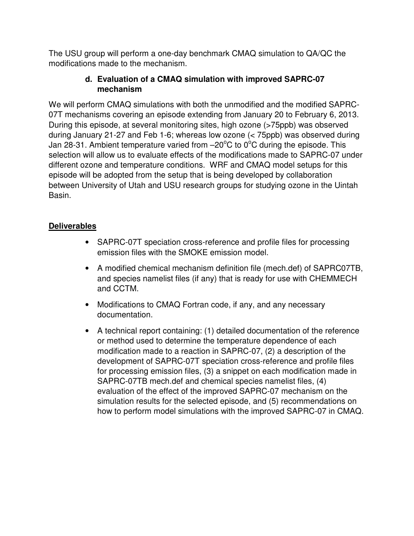The USU group will perform a one-day benchmark CMAQ simulation to QA/QC the modifications made to the mechanism.

### **d. Evaluation of a CMAQ simulation with improved SAPRC-07 mechanism**

We will perform CMAQ simulations with both the unmodified and the modified SAPRC-07T mechanisms covering an episode extending from January 20 to February 6, 2013. During this episode, at several monitoring sites, high ozone (>75ppb) was observed during January 21-27 and Feb 1-6; whereas low ozone (< 75ppb) was observed during Jan 28-31. Ambient temperature varied from  $-20^{\circ}$ C to 0°C during the episode. This selection will allow us to evaluate effects of the modifications made to SAPRC-07 under different ozone and temperature conditions. WRF and CMAQ model setups for this episode will be adopted from the setup that is being developed by collaboration between University of Utah and USU research groups for studying ozone in the Uintah Basin.

# **Deliverables**

- SAPRC-07T speciation cross-reference and profile files for processing emission files with the SMOKE emission model.
- A modified chemical mechanism definition file (mech.def) of SAPRC07TB, and species namelist files (if any) that is ready for use with CHEMMECH and CCTM.
- Modifications to CMAQ Fortran code, if any, and any necessary documentation.
- A technical report containing: (1) detailed documentation of the reference or method used to determine the temperature dependence of each modification made to a reaction in SAPRC-07, (2) a description of the development of SAPRC-07T speciation cross-reference and profile files for processing emission files, (3) a snippet on each modification made in SAPRC-07TB mech.def and chemical species namelist files, (4) evaluation of the effect of the improved SAPRC-07 mechanism on the simulation results for the selected episode, and (5) recommendations on how to perform model simulations with the improved SAPRC-07 in CMAQ.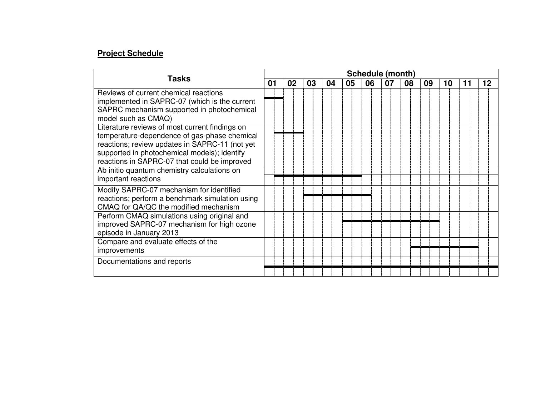### **Project Schedule**

|                                                                                                                                                                                                                                                  | Schedule (month) |    |    |    |    |    |    |    |    |    |    |
|--------------------------------------------------------------------------------------------------------------------------------------------------------------------------------------------------------------------------------------------------|------------------|----|----|----|----|----|----|----|----|----|----|
| <b>Tasks</b>                                                                                                                                                                                                                                     |                  | 02 | 03 | 04 | 05 | 06 | 07 | 08 | 09 | 10 | 12 |
| Reviews of current chemical reactions<br>implemented in SAPRC-07 (which is the current<br>SAPRC mechanism supported in photochemical<br>model such as CMAQ)                                                                                      |                  |    |    |    |    |    |    |    |    |    |    |
| Literature reviews of most current findings on<br>temperature-dependence of gas-phase chemical<br>reactions; review updates in SAPRC-11 (not yet<br>supported in photochemical models); identify<br>reactions in SAPRC-07 that could be improved |                  |    |    |    |    |    |    |    |    |    |    |
| Ab initio quantum chemistry calculations on<br>important reactions                                                                                                                                                                               |                  |    |    |    |    |    |    |    |    |    |    |
| Modify SAPRC-07 mechanism for identified<br>reactions; perform a benchmark simulation using<br>CMAQ for QA/QC the modified mechanism                                                                                                             |                  |    |    |    |    |    |    |    |    |    |    |
| Perform CMAQ simulations using original and<br>improved SAPRC-07 mechanism for high ozone<br>episode in January 2013                                                                                                                             |                  |    |    |    |    |    |    |    |    |    |    |
| Compare and evaluate effects of the<br>improvements                                                                                                                                                                                              |                  |    |    |    |    |    |    |    |    |    |    |
| Documentations and reports                                                                                                                                                                                                                       |                  |    |    |    |    |    |    |    |    |    |    |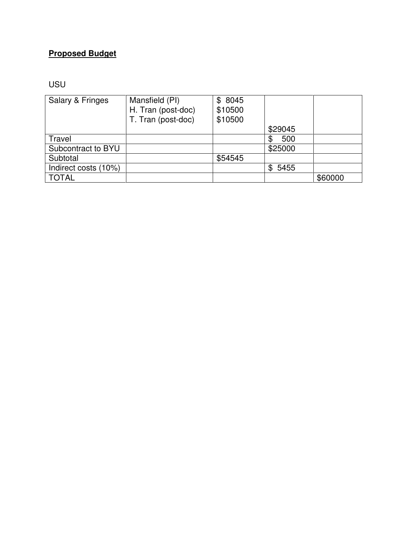# **Proposed Budget**

USU

| Salary & Fringes     | Mansfield (PI)     | \$8045  |             |         |
|----------------------|--------------------|---------|-------------|---------|
|                      | H. Tran (post-doc) | \$10500 |             |         |
|                      | T. Tran (post-doc) | \$10500 |             |         |
|                      |                    |         | \$29045     |         |
| Travel               |                    |         | 500         |         |
| Subcontract to BYU   |                    |         | \$25000     |         |
| Subtotal             |                    | \$54545 |             |         |
| Indirect costs (10%) |                    |         | 5455<br>\$. |         |
| <b>TOTAL</b>         |                    |         |             | \$60000 |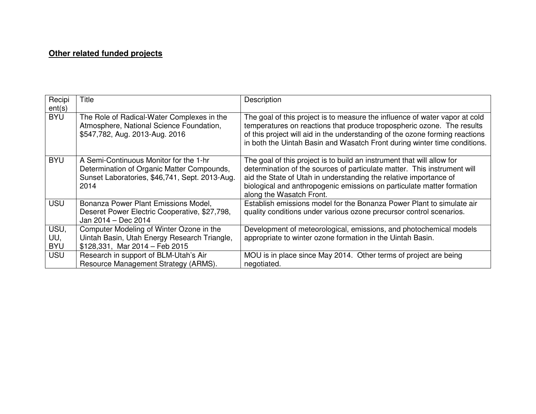### **Other related funded projects**

| Recipi<br>ent(s)          | Title                                                                                                                                          | Description                                                                                                                                                                                                                                                                                                                   |
|---------------------------|------------------------------------------------------------------------------------------------------------------------------------------------|-------------------------------------------------------------------------------------------------------------------------------------------------------------------------------------------------------------------------------------------------------------------------------------------------------------------------------|
| <b>BYU</b>                | The Role of Radical-Water Complexes in the<br>Atmosphere, National Science Foundation,<br>\$547,782, Aug. 2013-Aug. 2016                       | The goal of this project is to measure the influence of water vapor at cold<br>temperatures on reactions that produce tropospheric ozone. The results<br>of this project will aid in the understanding of the ozone forming reactions<br>in both the Uintah Basin and Wasatch Front during winter time conditions.            |
| <b>BYU</b>                | A Semi-Continuous Monitor for the 1-hr<br>Determination of Organic Matter Compounds,<br>Sunset Laboratories, \$46,741, Sept. 2013-Aug.<br>2014 | The goal of this project is to build an instrument that will allow for<br>determination of the sources of particulate matter. This instrument will<br>aid the State of Utah in understanding the relative importance of<br>biological and anthropogenic emissions on particulate matter formation<br>along the Wasatch Front. |
| USU                       | Bonanza Power Plant Emissions Model,<br>Deseret Power Electric Cooperative, \$27,798,<br>Jan 2014 - Dec 2014                                   | Establish emissions model for the Bonanza Power Plant to simulate air<br>quality conditions under various ozone precursor control scenarios.                                                                                                                                                                                  |
| USU,<br>UU,<br><b>BYU</b> | Computer Modeling of Winter Ozone in the<br>Uintah Basin, Utah Energy Research Triangle,<br>$$128,331$ , Mar $2014$ - Feb 2015                 | Development of meteorological, emissions, and photochemical models<br>appropriate to winter ozone formation in the Uintah Basin.                                                                                                                                                                                              |
| USU                       | Research in support of BLM-Utah's Air<br>Resource Management Strategy (ARMS).                                                                  | MOU is in place since May 2014. Other terms of project are being<br>negotiated.                                                                                                                                                                                                                                               |